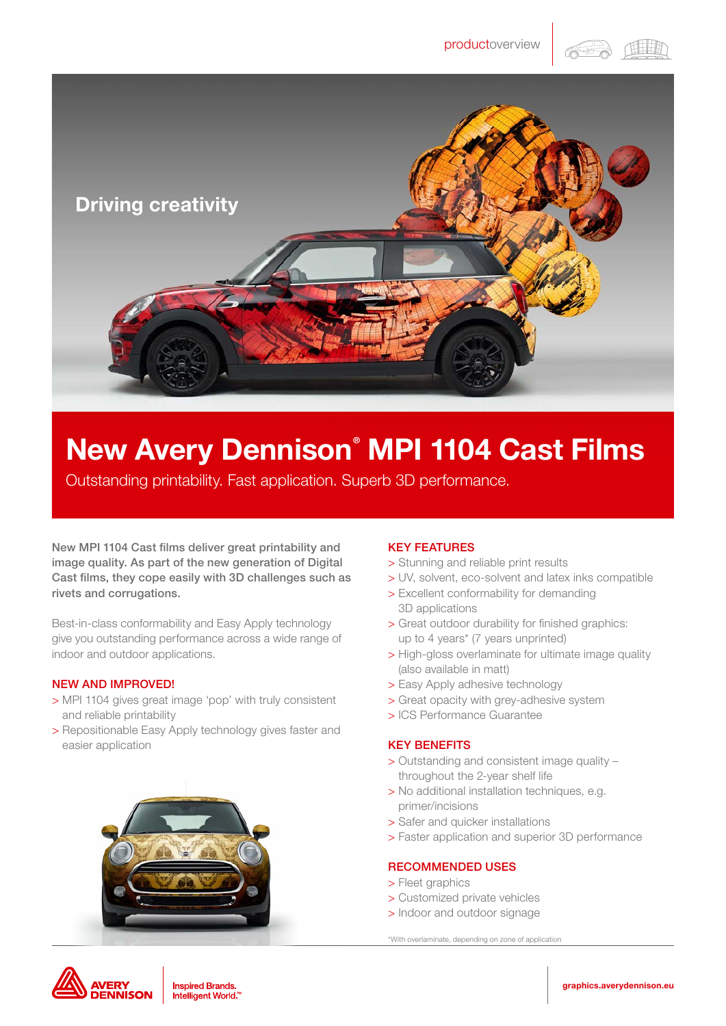在非时



# New Avery Dennison® MPI 1104 Cast Films

Outstanding printability. Fast application. Superb 3D performance.

New MPI 1104 Cast films deliver great printability and image quality. As part of the new generation of Digital Cast films, they cope easily with 3D challenges such as rivets and corrugations.

Best-in-class conformability and Easy Apply technology give you outstanding performance across a wide range of indoor and outdoor applications.

## NEW AND IMPROVED!

- > MPI 1104 gives great image 'pop' with truly consistent and reliable printability
- > Repositionable Easy Apply technology gives faster and easier application



## KEY FEATURES

- > Stunning and reliable print results
- > UV, solvent, eco-solvent and latex inks compatible
- > Excellent conformability for demanding 3D applications
- > Great outdoor durability for finished graphics: up to 4 years\* (7 years unprinted)
- > High-gloss overlaminate for ultimate image quality (also available in matt)
- > Easy Apply adhesive technology
- > Great opacity with grey-adhesive system
- > ICS Performance Guarantee

## KEY BENEFITS

- > Outstanding and consistent image quality throughout the 2-year shelf life
- > No additional installation techniques, e.g. primer/incisions
- > Safer and quicker installations
- > Faster application and superior 3D performance

## RECOMMENDED USES

- > Fleet graphics
- > Customized private vehicles
- > Indoor and outdoor signage

\*With overlaminate, depending on zone of application